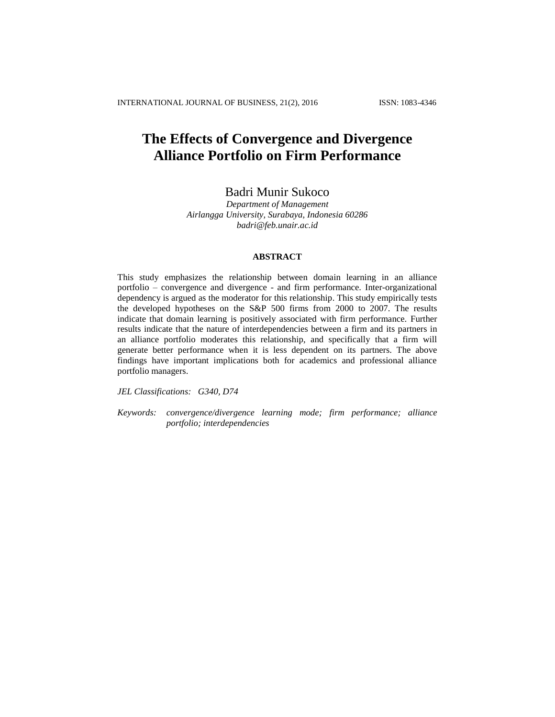# **The Effects of Convergence and Divergence Alliance Portfolio on Firm Performance**

# Badri Munir Sukoco

*Department of Management Airlangga University, Surabaya, Indonesia 60286 [badri@feb.unair.ac.id](mailto:badri@feb.unair.ac.id)*

#### **ABSTRACT**

This study emphasizes the relationship between domain learning in an alliance portfolio – convergence and divergence - and firm performance. Inter-organizational dependency is argued as the moderator for this relationship. This study empirically tests the developed hypotheses on the S&P 500 firms from 2000 to 2007. The results indicate that domain learning is positively associated with firm performance. Further results indicate that the nature of interdependencies between a firm and its partners in an alliance portfolio moderates this relationship, and specifically that a firm will generate better performance when it is less dependent on its partners. The above findings have important implications both for academics and professional alliance portfolio managers.

*JEL Classifications: G340, D74*

*Keywords: convergence/divergence learning mode; firm performance; alliance portfolio; interdependencies*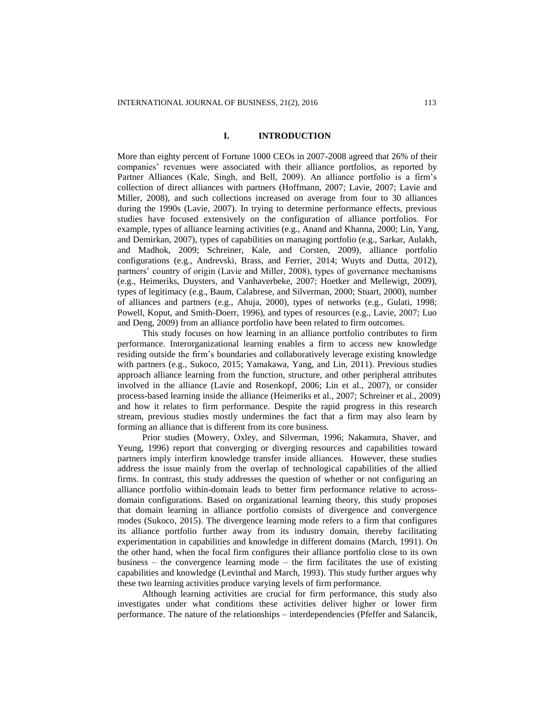## **I. INTRODUCTION**

More than eighty percent of Fortune 1000 CEOs in 2007-2008 agreed that 26% of their companies' revenues were associated with their alliance portfolios, as reported by Partner Alliances (Kale, Singh, and Bell, 2009). An alliance portfolio is a firm's collection of direct alliances with partners (Hoffmann, 2007; Lavie, 2007; Lavie and Miller, 2008), and such collections increased on average from four to 30 alliances during the 1990s (Lavie, 2007). In trying to determine performance effects, previous studies have focused extensively on the configuration of alliance portfolios. For example, types of alliance learning activities (e.g., Anand and Khanna, 2000; Lin, Yang, and Demirkan, 2007), types of capabilities on managing portfolio (e.g., Sarkar, Aulakh, and Madhok, 2009; Schreiner, Kale, and Corsten, 2009), alliance portfolio configurations (e.g., Andrevski, Brass, and Ferrier, 2014; Wuyts and Dutta, 2012), partners' country of origin (Lavie and Miller, 2008), types of governance mechanisms (e.g., Heimeriks, Duysters, and Vanhaverbeke, 2007; Hoetker and Mellewigt, 2009), types of legitimacy (e.g., Baum, Calabrese, and Silverman, 2000; Stuart, 2000), number of alliances and partners (e.g., Ahuja, 2000), types of networks (e.g., Gulati, 1998; Powell, Koput, and Smith-Doerr, 1996), and types of resources (e.g., Lavie, 2007; Luo and Deng, 2009) from an alliance portfolio have been related to firm outcomes.

This study focuses on how learning in an alliance portfolio contributes to firm performance. Interorganizational learning enables a firm to access new knowledge residing outside the firm's boundaries and collaboratively leverage existing knowledge with partners (e.g., Sukoco, 2015; Yamakawa, Yang, and Lin, 2011). Previous studies approach alliance learning from the function, structure, and other peripheral attributes involved in the alliance (Lavie and Rosenkopf, 2006; Lin et al., 2007), or consider process-based learning inside the alliance (Heimeriks et al., 2007; Schreiner et al., 2009) and how it relates to firm performance. Despite the rapid progress in this research stream, previous studies mostly undermines the fact that a firm may also learn by forming an alliance that is different from its core business.

Prior studies (Mowery, Oxley, and Silverman, 1996; Nakamura, Shaver, and Yeung, 1996) report that converging or diverging resources and capabilities toward partners imply interfirm knowledge transfer inside alliances. However, these studies address the issue mainly from the overlap of technological capabilities of the allied firms. In contrast, this study addresses the question of whether or not configuring an alliance portfolio within-domain leads to better firm performance relative to acrossdomain configurations. Based on organizational learning theory, this study proposes that domain learning in alliance portfolio consists of divergence and convergence modes (Sukoco, 2015). The divergence learning mode refers to a firm that configures its alliance portfolio further away from its industry domain, thereby facilitating experimentation in capabilities and knowledge in different domains (March, 1991). On the other hand, when the focal firm configures their alliance portfolio close to its own business – the convergence learning mode – the firm facilitates the use of existing capabilities and knowledge (Levinthal and March, 1993). This study further argues why these two learning activities produce varying levels of firm performance.

Although learning activities are crucial for firm performance, this study also investigates under what conditions these activities deliver higher or lower firm performance. The nature of the relationships – interdependencies (Pfeffer and Salancik,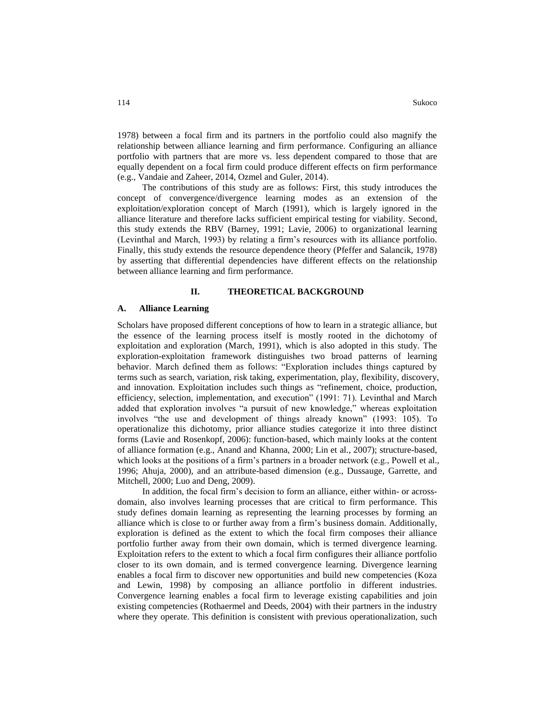1978) between a focal firm and its partners in the portfolio could also magnify the relationship between alliance learning and firm performance. Configuring an alliance portfolio with partners that are more vs. less dependent compared to those that are equally dependent on a focal firm could produce different effects on firm performance (e.g., Vandaie and Zaheer, 2014, Ozmel and Guler, 2014).

The contributions of this study are as follows: First, this study introduces the concept of convergence/divergence learning modes as an extension of the exploitation/exploration concept of March (1991), which is largely ignored in the alliance literature and therefore lacks sufficient empirical testing for viability. Second, this study extends the RBV (Barney, 1991; Lavie, 2006) to organizational learning (Levinthal and March, 1993) by relating a firm's resources with its alliance portfolio. Finally, this study extends the resource dependence theory (Pfeffer and Salancik, 1978) by asserting that differential dependencies have different effects on the relationship between alliance learning and firm performance.

#### **II. THEORETICAL BACKGROUND**

#### **A. Alliance Learning**

Scholars have proposed different conceptions of how to learn in a strategic alliance, but the essence of the learning process itself is mostly rooted in the dichotomy of exploitation and exploration (March, 1991), which is also adopted in this study. The exploration-exploitation framework distinguishes two broad patterns of learning behavior. March defined them as follows: "Exploration includes things captured by terms such as search, variation, risk taking, experimentation, play, flexibility, discovery, and innovation. Exploitation includes such things as "refinement, choice, production, efficiency, selection, implementation, and execution" (1991: 71). Levinthal and March added that exploration involves "a pursuit of new knowledge," whereas exploitation involves "the use and development of things already known" (1993: 105). To operationalize this dichotomy, prior alliance studies categorize it into three distinct forms (Lavie and Rosenkopf, 2006): function-based, which mainly looks at the content of alliance formation (e.g., Anand and Khanna, 2000; Lin et al., 2007); structure-based, which looks at the positions of a firm's partners in a broader network (e.g., Powell et al., 1996; Ahuja, 2000), and an attribute-based dimension (e.g., Dussauge, Garrette, and Mitchell, 2000; Luo and Deng, 2009).

In addition, the focal firm's decision to form an alliance, either within- or acrossdomain, also involves learning processes that are critical to firm performance. This study defines domain learning as representing the learning processes by forming an alliance which is close to or further away from a firm's business domain. Additionally, exploration is defined as the extent to which the focal firm composes their alliance portfolio further away from their own domain, which is termed divergence learning. Exploitation refers to the extent to which a focal firm configures their alliance portfolio closer to its own domain, and is termed convergence learning. Divergence learning enables a focal firm to discover new opportunities and build new competencies (Koza and Lewin, 1998) by composing an alliance portfolio in different industries. Convergence learning enables a focal firm to leverage existing capabilities and join existing competencies (Rothaermel and Deeds, 2004) with their partners in the industry where they operate. This definition is consistent with previous operationalization, such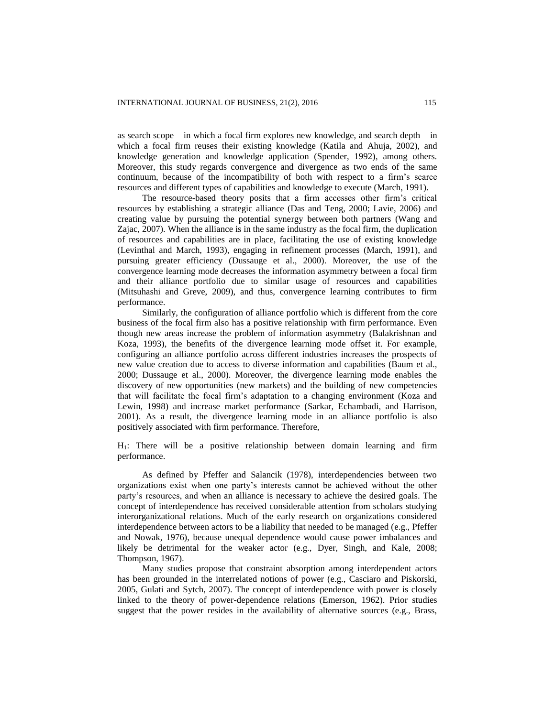as search scope – in which a focal firm explores new knowledge, and search depth – in which a focal firm reuses their existing knowledge (Katila and Ahuja, 2002), and knowledge generation and knowledge application (Spender, 1992), among others. Moreover, this study regards convergence and divergence as two ends of the same continuum, because of the incompatibility of both with respect to a firm's scarce resources and different types of capabilities and knowledge to execute (March, 1991).

The resource-based theory posits that a firm accesses other firm's critical resources by establishing a strategic alliance (Das and Teng, 2000; Lavie, 2006) and creating value by pursuing the potential synergy between both partners (Wang and Zajac, 2007). When the alliance is in the same industry as the focal firm, the duplication of resources and capabilities are in place, facilitating the use of existing knowledge (Levinthal and March, 1993), engaging in refinement processes (March, 1991), and pursuing greater efficiency (Dussauge et al., 2000). Moreover, the use of the convergence learning mode decreases the information asymmetry between a focal firm and their alliance portfolio due to similar usage of resources and capabilities (Mitsuhashi and Greve, 2009), and thus, convergence learning contributes to firm performance.

Similarly, the configuration of alliance portfolio which is different from the core business of the focal firm also has a positive relationship with firm performance. Even though new areas increase the problem of information asymmetry (Balakrishnan and Koza, 1993), the benefits of the divergence learning mode offset it. For example, configuring an alliance portfolio across different industries increases the prospects of new value creation due to access to diverse information and capabilities (Baum et al., 2000; Dussauge et al., 2000). Moreover, the divergence learning mode enables the discovery of new opportunities (new markets) and the building of new competencies that will facilitate the focal firm's adaptation to a changing environment (Koza and Lewin, 1998) and increase market performance (Sarkar, Echambadi, and Harrison, 2001). As a result, the divergence learning mode in an alliance portfolio is also positively associated with firm performance. Therefore,

H1: There will be a positive relationship between domain learning and firm performance.

As defined by Pfeffer and Salancik (1978), interdependencies between two organizations exist when one party's interests cannot be achieved without the other party's resources, and when an alliance is necessary to achieve the desired goals. The concept of interdependence has received considerable attention from scholars studying interorganizational relations. Much of the early research on organizations considered interdependence between actors to be a liability that needed to be managed (e.g., Pfeffer and Nowak, 1976), because unequal dependence would cause power imbalances and likely be detrimental for the weaker actor (e.g., Dyer, Singh, and Kale, 2008; Thompson, 1967).

Many studies propose that constraint absorption among interdependent actors has been grounded in the interrelated notions of power (e.g., Casciaro and Piskorski, 2005, Gulati and Sytch, 2007). The concept of interdependence with power is closely linked to the theory of power-dependence relations (Emerson, 1962). Prior studies suggest that the power resides in the availability of alternative sources (e.g., Brass,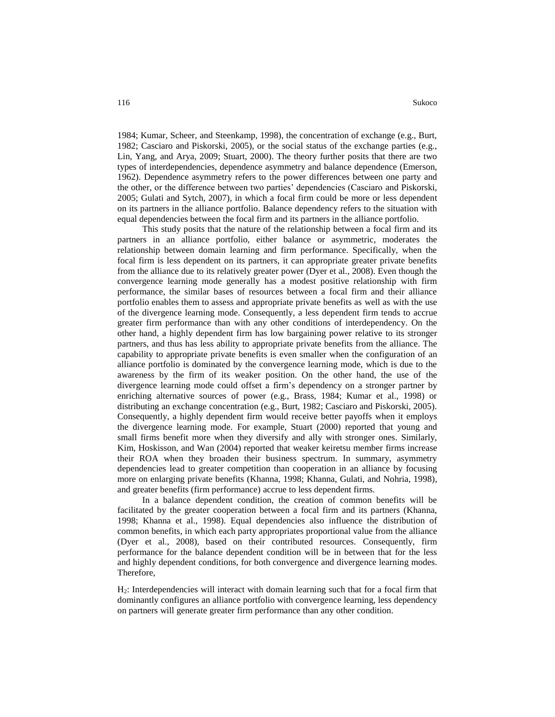1984; Kumar, Scheer, and Steenkamp, 1998), the concentration of exchange (e.g., Burt, 1982; Casciaro and Piskorski, 2005), or the social status of the exchange parties (e.g., Lin, Yang, and Arya, 2009; Stuart, 2000). The theory further posits that there are two types of interdependencies, dependence asymmetry and balance dependence (Emerson, 1962). Dependence asymmetry refers to the power differences between one party and the other, or the difference between two parties' dependencies (Casciaro and Piskorski, 2005; Gulati and Sytch, 2007), in which a focal firm could be more or less dependent on its partners in the alliance portfolio. Balance dependency refers to the situation with equal dependencies between the focal firm and its partners in the alliance portfolio.

This study posits that the nature of the relationship between a focal firm and its partners in an alliance portfolio, either balance or asymmetric, moderates the relationship between domain learning and firm performance. Specifically, when the focal firm is less dependent on its partners, it can appropriate greater private benefits from the alliance due to its relatively greater power (Dyer et al., 2008). Even though the convergence learning mode generally has a modest positive relationship with firm performance, the similar bases of resources between a focal firm and their alliance portfolio enables them to assess and appropriate private benefits as well as with the use of the divergence learning mode. Consequently, a less dependent firm tends to accrue greater firm performance than with any other conditions of interdependency. On the other hand, a highly dependent firm has low bargaining power relative to its stronger partners, and thus has less ability to appropriate private benefits from the alliance. The capability to appropriate private benefits is even smaller when the configuration of an alliance portfolio is dominated by the convergence learning mode, which is due to the awareness by the firm of its weaker position. On the other hand, the use of the divergence learning mode could offset a firm's dependency on a stronger partner by enriching alternative sources of power (e.g., Brass, 1984; Kumar et al., 1998) or distributing an exchange concentration (e.g., Burt, 1982; Casciaro and Piskorski, 2005). Consequently, a highly dependent firm would receive better payoffs when it employs the divergence learning mode. For example, Stuart (2000) reported that young and small firms benefit more when they diversify and ally with stronger ones. Similarly, Kim, Hoskisson, and Wan (2004) reported that weaker keiretsu member firms increase their ROA when they broaden their business spectrum. In summary, asymmetry dependencies lead to greater competition than cooperation in an alliance by focusing more on enlarging private benefits (Khanna, 1998; Khanna, Gulati, and Nohria, 1998), and greater benefits (firm performance) accrue to less dependent firms.

In a balance dependent condition, the creation of common benefits will be facilitated by the greater cooperation between a focal firm and its partners (Khanna, 1998; Khanna et al., 1998). Equal dependencies also influence the distribution of common benefits, in which each party appropriates proportional value from the alliance (Dyer et al., 2008), based on their contributed resources. Consequently, firm performance for the balance dependent condition will be in between that for the less and highly dependent conditions, for both convergence and divergence learning modes. Therefore,

H2: Interdependencies will interact with domain learning such that for a focal firm that dominantly configures an alliance portfolio with convergence learning, less dependency on partners will generate greater firm performance than any other condition.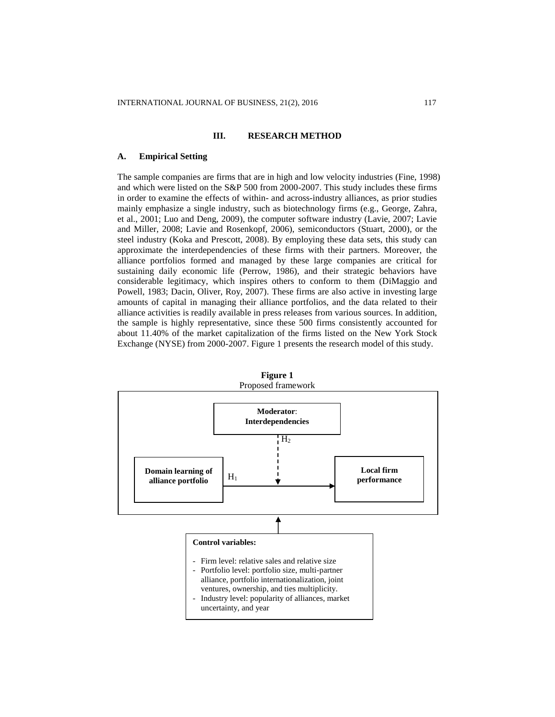#### **III. RESEARCH METHOD**

#### **A. Empirical Setting**

The sample companies are firms that are in high and low velocity industries (Fine, 1998) and which were listed on the S&P 500 from 2000-2007. This study includes these firms in order to examine the effects of within- and across-industry alliances, as prior studies mainly emphasize a single industry, such as biotechnology firms (e.g., George, Zahra, et al., 2001; Luo and Deng, 2009), the computer software industry (Lavie, 2007; Lavie and Miller, 2008; Lavie and Rosenkopf, 2006), semiconductors (Stuart, 2000), or the steel industry (Koka and Prescott, 2008). By employing these data sets, this study can approximate the interdependencies of these firms with their partners. Moreover, the alliance portfolios formed and managed by these large companies are critical for sustaining daily economic life (Perrow, 1986), and their strategic behaviors have considerable legitimacy, which inspires others to conform to them (DiMaggio and Powell, 1983; Dacin, Oliver, Roy, 2007). These firms are also active in investing large amounts of capital in managing their alliance portfolios, and the data related to their alliance activities is readily available in press releases from various sources. In addition, the sample is highly representative, since these 500 firms consistently accounted for about 11.40% of the market capitalization of the firms listed on the New York Stock Exchange (NYSE) from 2000-2007. Figure 1 presents the research model of this study.



**Figure 1** Proposed framework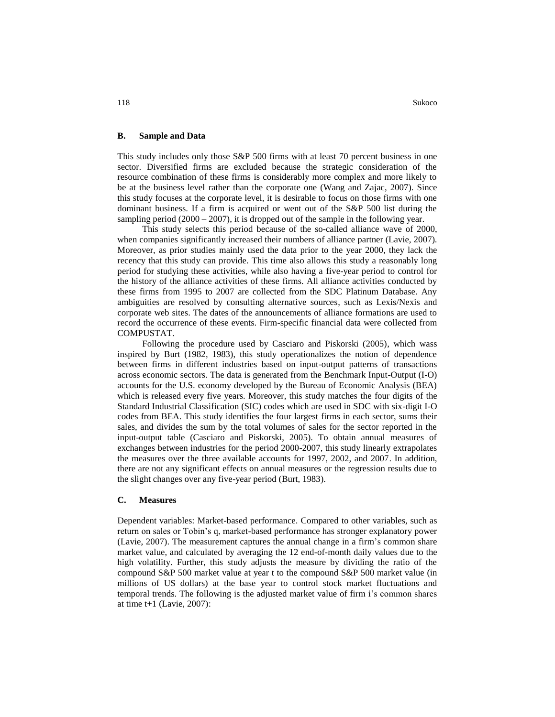#### **B. Sample and Data**

This study includes only those S&P 500 firms with at least 70 percent business in one sector. Diversified firms are excluded because the strategic consideration of the resource combination of these firms is considerably more complex and more likely to be at the business level rather than the corporate one (Wang and Zajac, 2007). Since this study focuses at the corporate level, it is desirable to focus on those firms with one dominant business. If a firm is acquired or went out of the S&P 500 list during the sampling period (2000 – 2007), it is dropped out of the sample in the following year.

This study selects this period because of the so-called alliance wave of 2000, when companies significantly increased their numbers of alliance partner (Lavie, 2007). Moreover, as prior studies mainly used the data prior to the year 2000, they lack the recency that this study can provide. This time also allows this study a reasonably long period for studying these activities, while also having a five-year period to control for the history of the alliance activities of these firms. All alliance activities conducted by these firms from 1995 to 2007 are collected from the SDC Platinum Database. Any ambiguities are resolved by consulting alternative sources, such as Lexis/Nexis and corporate web sites. The dates of the announcements of alliance formations are used to record the occurrence of these events. Firm-specific financial data were collected from COMPUSTAT.

Following the procedure used by Casciaro and Piskorski (2005), which wass inspired by Burt (1982, 1983), this study operationalizes the notion of dependence between firms in different industries based on input-output patterns of transactions across economic sectors. The data is generated from the Benchmark Input-Output (I-O) accounts for the U.S. economy developed by the Bureau of Economic Analysis (BEA) which is released every five years. Moreover, this study matches the four digits of the Standard Industrial Classification (SIC) codes which are used in SDC with six-digit I-O codes from BEA. This study identifies the four largest firms in each sector, sums their sales, and divides the sum by the total volumes of sales for the sector reported in the input-output table (Casciaro and Piskorski, 2005). To obtain annual measures of exchanges between industries for the period 2000-2007, this study linearly extrapolates the measures over the three available accounts for 1997, 2002, and 2007. In addition, there are not any significant effects on annual measures or the regression results due to the slight changes over any five-year period (Burt, 1983).

#### **C. Measures**

Dependent variables: Market-based performance. Compared to other variables, such as return on sales or Tobin's q, market-based performance has stronger explanatory power (Lavie, 2007). The measurement captures the annual change in a firm's common share market value, and calculated by averaging the 12 end-of-month daily values due to the high volatility. Further, this study adjusts the measure by dividing the ratio of the compound S&P 500 market value at year t to the compound S&P 500 market value (in millions of US dollars) at the base year to control stock market fluctuations and temporal trends. The following is the adjusted market value of firm i's common shares at time  $t+1$  (Lavie, 2007):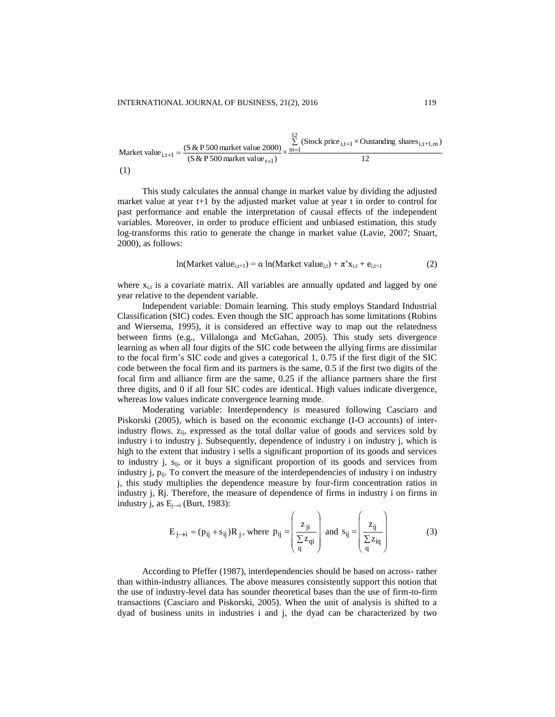Market value<sub>i,t+1</sub> = 
$$
\frac{(S & P 500 \text{ market value } 2000)}{(S & P 500 \text{ market value}_{t+1})} \times \frac{\sum_{m=1}^{12} (Stock price_{i,t+1} \times Outside distance_{i,t+1,m})}{12}
$$
(1)

 $\overline{12}$ 

This study calculates the annual change in market value by dividing the adjusted market value at year  $t+1$  by the adjusted market value at year t in order to control for past performance and enable the interpretation of causal effects of the independent variables. Moreover, in order to produce efficient and unbiased estimation, this study log-transforms this ratio to generate the change in market value (Lavie, 2007; Stuart, 2000), as follows:

$$
ln(Marker value_{i,t+1}) = \alpha ln(Marker value_{i,t}) + \pi^{2}x_{i,t} + e_{i,t+1}
$$
 (2)

where  $x_{i,t}$  is a covariate matrix. All variables are annually updated and lagged by one year relative to the dependent variable.

Independent variable: Domain learning. This study employs Standard Industrial Classification (SIC) codes. Even though the SIC approach has some limitations (Robins and Wiersema, 1995), it is considered an effective way to map out the relatedness between firms (e.g., Villalonga and McGahan, 2005). This study sets divergence learning as when all four digits of the SIC code between the allying firms are dissimilar to the focal firm's SIC code and gives a categorical 1, 0.75 if the first digit of the SIC code between the focal firm and its partners is the same, 0.5 if the first two digits of the focal firm and alliance firm are the same, 0.25 if the alliance partners share the first three digits, and 0 if all four SIC codes are identical. High values indicate divergence, whereas low values indicate convergence learning mode.

Moderating variable: Interdependency is measured following Casciaro and Piskorski (2005), which is based on the economic exchange (I-O accounts) of interindustry flows.  $z_{ij}$ , expressed as the total dollar value of goods and services sold by industry i to industry j. Subsequently, dependence of industry i on industry j, which is high to the extent that industry i sells a significant proportion of its goods and services to industry j, s<sub>ij</sub>, or it buys a significant proportion of its goods and services from industry j,  $p_{ij}$ . To convert the measure of the interdependencies of industry i on industry j, this study multiplies the dependence measure by four-firm concentration ratios in industry j, Rj. Therefore, the measure of dependence of firms in industry i on firms in industry j, as  $E_{i\rightarrow i}$  (Burt, 1983):

$$
E_{j\rightarrow i} = (p_{ij} + s_{ij})R_j, \text{ where } p_{ij} = \begin{pmatrix} z_{ji} \\ \frac{\sum z_{ij}}{q} \end{pmatrix} \text{ and } s_{ij} = \begin{pmatrix} z_{ij} \\ \frac{\sum z_{ij}}{q} \end{pmatrix}
$$
(3)

According to Pfeffer (1987), interdependencies should be based on across- rather than within-industry alliances. The above measures consistently support this notion that the use of industry-level data has sounder theoretical bases than the use of firm-to-firm transactions (Casciaro and Piskorski, 2005). When the unit of analysis is shifted to a dyad of business units in industries i and j, the dyad can be characterized by two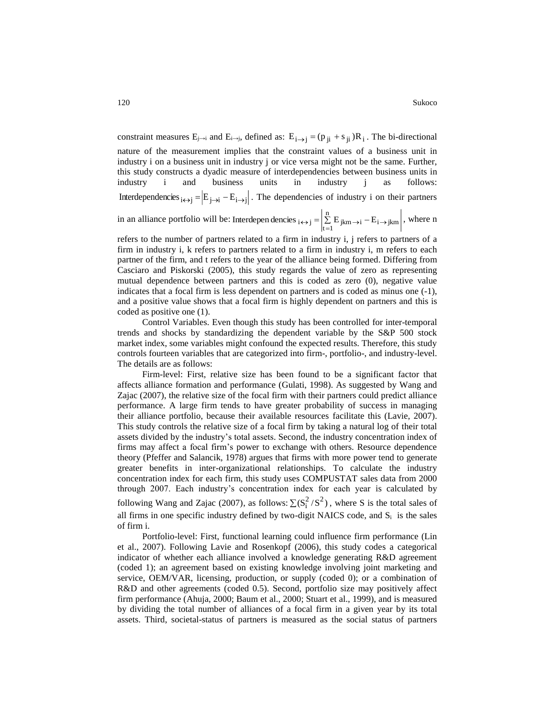constraint measures  $E_{j\to i}$  and  $E_{i\to j}$ , defined as:  $E_{i\to j} = (p_{ji} + s_{ji})R_i$ . The bi-directional nature of the measurement implies that the constraint values of a business unit in industry i on a business unit in industry j or vice versa might not be the same. Further, this study constructs a dyadic measure of interdependencies between business units in industry i and business units in industry j as follows: Interdependencies  $_{i \leftrightarrow j} = |E_{j \to i} - E_{i \to j}|$ . The dependencies of industry i on their partners

in an alliance portfolio will be: Interdepen dencies  $\mathbf{a}_{i \leftrightarrow j} = \begin{vmatrix} \sum E_{jkm \rightarrow i} - E_{i \rightarrow j} \end{vmatrix}$ n Interdepen dencies  $_{i \leftrightarrow j} = \left| \sum_{t=1}^{n} E_{jkm \to i} - E_{i \to jkm} \right|$ , where n

refers to the number of partners related to a firm in industry i, j refers to partners of a firm in industry i, k refers to partners related to a firm in industry i, m refers to each partner of the firm, and t refers to the year of the alliance being formed. Differing from Casciaro and Piskorski (2005), this study regards the value of zero as representing mutual dependence between partners and this is coded as zero (0), negative value indicates that a focal firm is less dependent on partners and is coded as minus one (-1), and a positive value shows that a focal firm is highly dependent on partners and this is coded as positive one (1).

Control Variables. Even though this study has been controlled for inter-temporal trends and shocks by standardizing the dependent variable by the S&P 500 stock market index, some variables might confound the expected results. Therefore, this study controls fourteen variables that are categorized into firm-, portfolio-, and industry-level. The details are as follows:

Firm-level: First, relative size has been found to be a significant factor that affects alliance formation and performance (Gulati, 1998). As suggested by Wang and Zajac (2007), the relative size of the focal firm with their partners could predict alliance performance. A large firm tends to have greater probability of success in managing their alliance portfolio, because their available resources facilitate this (Lavie, 2007). This study controls the relative size of a focal firm by taking a natural log of their total assets divided by the industry's total assets. Second, the industry concentration index of firms may affect a focal firm's power to exchange with others. Resource dependence theory (Pfeffer and Salancik, 1978) argues that firms with more power tend to generate greater benefits in inter-organizational relationships. To calculate the industry concentration index for each firm, this study uses COMPUSTAT sales data from 2000 through 2007. Each industry's concentration index for each year is calculated by following Wang and Zajac (2007), as follows:  $\sum (S_i^2/S^2)$ , where S is the total sales of all firms in one specific industry defined by two-digit NAICS code, and  $S_i$  is the sales of firm i.

Portfolio-level: First, functional learning could influence firm performance (Lin et al., 2007). Following Lavie and Rosenkopf (2006), this study codes a categorical indicator of whether each alliance involved a knowledge generating R&D agreement (coded 1); an agreement based on existing knowledge involving joint marketing and service, OEM/VAR, licensing, production, or supply (coded 0); or a combination of R&D and other agreements (coded 0.5). Second, portfolio size may positively affect firm performance (Ahuja, 2000; Baum et al., 2000; Stuart et al., 1999), and is measured by dividing the total number of alliances of a focal firm in a given year by its total assets. Third, societal-status of partners is measured as the social status of partners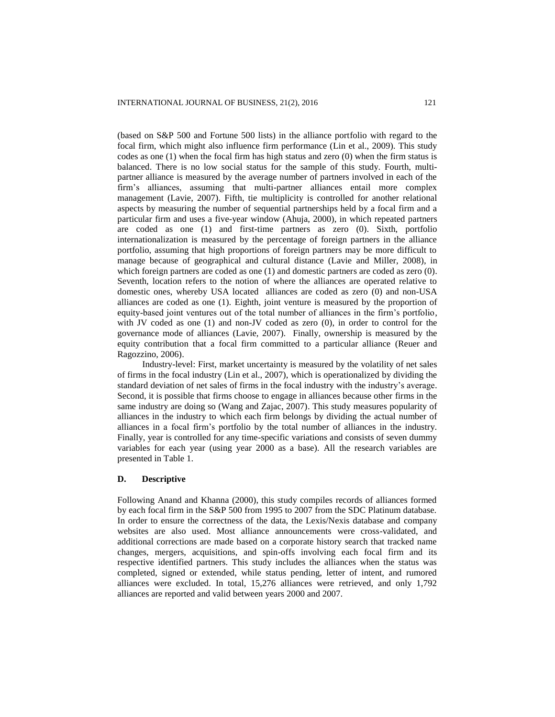(based on S&P 500 and Fortune 500 lists) in the alliance portfolio with regard to the focal firm, which might also influence firm performance (Lin et al., 2009). This study codes as one  $(1)$  when the focal firm has high status and zero  $(0)$  when the firm status is balanced. There is no low social status for the sample of this study. Fourth, multipartner alliance is measured by the average number of partners involved in each of the firm's alliances, assuming that multi-partner alliances entail more complex management (Lavie, 2007). Fifth, tie multiplicity is controlled for another relational aspects by measuring the number of sequential partnerships held by a focal firm and a particular firm and uses a five-year window (Ahuja, 2000), in which repeated partners are coded as one (1) and first-time partners as zero (0). Sixth, portfolio internationalization is measured by the percentage of foreign partners in the alliance portfolio, assuming that high proportions of foreign partners may be more difficult to manage because of geographical and cultural distance (Lavie and Miller, 2008), in which foreign partners are coded as one (1) and domestic partners are coded as zero (0). Seventh, location refers to the notion of where the alliances are operated relative to domestic ones, whereby USA located alliances are coded as zero (0) and non-USA alliances are coded as one (1). Eighth, joint venture is measured by the proportion of equity-based joint ventures out of the total number of alliances in the firm's portfolio, with JV coded as one (1) and non-JV coded as zero (0), in order to control for the governance mode of alliances (Lavie, 2007). Finally, ownership is measured by the equity contribution that a focal firm committed to a particular alliance (Reuer and Ragozzino, 2006).

Industry-level: First, market uncertainty is measured by the volatility of net sales of firms in the focal industry (Lin et al., 2007), which is operationalized by dividing the standard deviation of net sales of firms in the focal industry with the industry's average. Second, it is possible that firms choose to engage in alliances because other firms in the same industry are doing so (Wang and Zajac, 2007). This study measures popularity of alliances in the industry to which each firm belongs by dividing the actual number of alliances in a focal firm's portfolio by the total number of alliances in the industry. Finally, year is controlled for any time-specific variations and consists of seven dummy variables for each year (using year 2000 as a base). All the research variables are presented in Table 1.

# **D. Descriptive**

Following Anand and Khanna (2000), this study compiles records of alliances formed by each focal firm in the S&P 500 from 1995 to 2007 from the SDC Platinum database. In order to ensure the correctness of the data, the Lexis/Nexis database and company websites are also used. Most alliance announcements were cross-validated, and additional corrections are made based on a corporate history search that tracked name changes, mergers, acquisitions, and spin-offs involving each focal firm and its respective identified partners. This study includes the alliances when the status was completed, signed or extended, while status pending, letter of intent, and rumored alliances were excluded. In total, 15,276 alliances were retrieved, and only 1,792 alliances are reported and valid between years 2000 and 2007.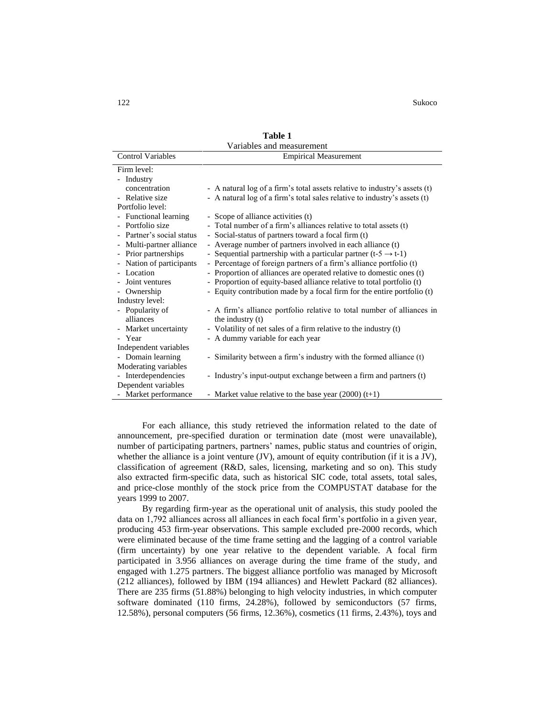122 Sukoco

| Variables and measurement |                                                                            |  |  |  |  |
|---------------------------|----------------------------------------------------------------------------|--|--|--|--|
| <b>Control Variables</b>  | <b>Empirical Measurement</b>                                               |  |  |  |  |
| Firm level:               |                                                                            |  |  |  |  |
| - Industry                |                                                                            |  |  |  |  |
| concentration             | - A natural log of a firm's total assets relative to industry's assets (t) |  |  |  |  |
| - Relative size           | - A natural log of a firm's total sales relative to industry's assets (t)  |  |  |  |  |
| Portfolio level:          |                                                                            |  |  |  |  |
| - Functional learning     | - Scope of alliance activities (t)                                         |  |  |  |  |
| - Portfolio size          | - Total number of a firm's alliances relative to total assets (t)          |  |  |  |  |
| - Partner's social status | - Social-status of partners toward a focal firm (t)                        |  |  |  |  |
| - Multi-partner alliance  | - Average number of partners involved in each alliance (t)                 |  |  |  |  |
| - Prior partnerships      | - Sequential partnership with a particular partner (t-5 $\rightarrow$ t-1) |  |  |  |  |
| Nation of participants    | - Percentage of foreign partners of a firm's alliance portfolio (t)        |  |  |  |  |
| - Location                | - Proportion of alliances are operated relative to domestic ones (t)       |  |  |  |  |
| Joint ventures            | - Proportion of equity-based alliance relative to total portfolio (t)      |  |  |  |  |
| - Ownership               | - Equity contribution made by a focal firm for the entire portfolio (t)    |  |  |  |  |
| Industry level:           |                                                                            |  |  |  |  |
| - Popularity of           | - A firm's alliance portfolio relative to total number of alliances in     |  |  |  |  |
| alliances                 | the industry (t)                                                           |  |  |  |  |
| - Market uncertainty      | - Volatility of net sales of a firm relative to the industry (t)           |  |  |  |  |
| - Year                    | - A dummy variable for each year                                           |  |  |  |  |
| Independent variables     |                                                                            |  |  |  |  |
| - Domain learning         | - Similarity between a firm's industry with the formed alliance (t)        |  |  |  |  |
| Moderating variables      |                                                                            |  |  |  |  |
| - Interdependencies       | - Industry's input-output exchange between a firm and partners (t)         |  |  |  |  |
| Dependent variables       |                                                                            |  |  |  |  |
| - Market performance      | - Market value relative to the base year $(2000)$ (t+1)                    |  |  |  |  |

**Table 1**

For each alliance, this study retrieved the information related to the date of announcement, pre-specified duration or termination date (most were unavailable), number of participating partners, partners' names, public status and countries of origin, whether the alliance is a joint venture (JV), amount of equity contribution (if it is a JV), classification of agreement (R&D, sales, licensing, marketing and so on). This study also extracted firm-specific data, such as historical SIC code, total assets, total sales, and price-close monthly of the stock price from the COMPUSTAT database for the years 1999 to 2007.

By regarding firm-year as the operational unit of analysis, this study pooled the data on 1,792 alliances across all alliances in each focal firm's portfolio in a given year, producing 453 firm-year observations. This sample excluded pre-2000 records, which were eliminated because of the time frame setting and the lagging of a control variable (firm uncertainty) by one year relative to the dependent variable. A focal firm participated in 3.956 alliances on average during the time frame of the study, and engaged with 1.275 partners. The biggest alliance portfolio was managed by Microsoft (212 alliances), followed by IBM (194 alliances) and Hewlett Packard (82 alliances). There are 235 firms (51.88%) belonging to high velocity industries, in which computer software dominated (110 firms, 24.28%), followed by semiconductors (57 firms, 12.58%), personal computers (56 firms, 12.36%), cosmetics (11 firms, 2.43%), toys and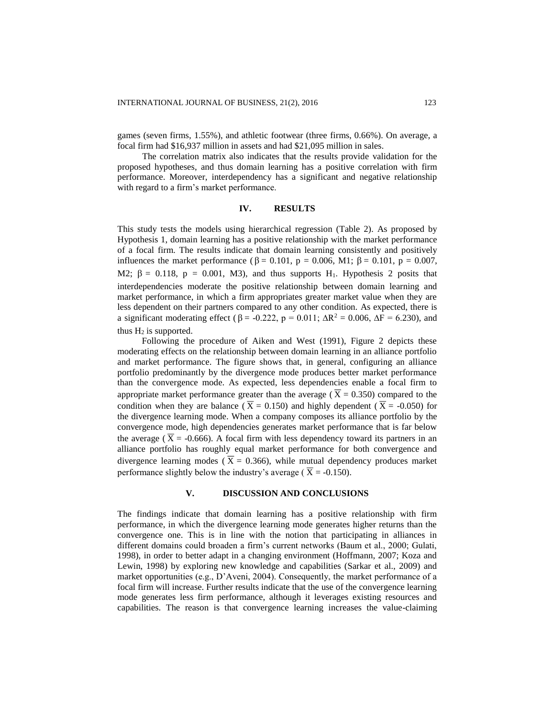games (seven firms, 1.55%), and athletic footwear (three firms, 0.66%). On average, a focal firm had \$16,937 million in assets and had \$21,095 million in sales.

The correlation matrix also indicates that the results provide validation for the proposed hypotheses, and thus domain learning has a positive correlation with firm performance. Moreover, interdependency has a significant and negative relationship with regard to a firm's market performance.

## **IV. RESULTS**

This study tests the models using hierarchical regression (Table 2). As proposed by Hypothesis 1, domain learning has a positive relationship with the market performance of a focal firm. The results indicate that domain learning consistently and positively influences the market performance ( $\beta = 0.101$ ,  $p = 0.006$ , M1;  $\beta = 0.101$ ,  $p = 0.007$ , M2;  $\beta = 0.118$ ,  $p = 0.001$ , M3), and thus supports H<sub>1</sub>. Hypothesis 2 posits that interdependencies moderate the positive relationship between domain learning and market performance, in which a firm appropriates greater market value when they are less dependent on their partners compared to any other condition. As expected, there is a significant moderating effect ( $β = -0.222$ ,  $p = 0.011$ ;  $ΔR^2 = 0.006$ ,  $ΔF = 6.230$ ), and thus  $H_2$  is supported.

Following the procedure of Aiken and West (1991), Figure 2 depicts these moderating effects on the relationship between domain learning in an alliance portfolio and market performance. The figure shows that, in general, configuring an alliance portfolio predominantly by the divergence mode produces better market performance than the convergence mode. As expected, less dependencies enable a focal firm to appropriate market performance greater than the average ( $X = 0.350$ ) compared to the condition when they are balance ( $\overline{X} = 0.150$ ) and highly dependent ( $\overline{X} = -0.050$ ) for the divergence learning mode. When a company composes its alliance portfolio by the convergence mode, high dependencies generates market performance that is far below the average ( $\overline{X}$  = -0.666). A focal firm with less dependency toward its partners in an alliance portfolio has roughly equal market performance for both convergence and divergence learning modes ( $\bar{X} = 0.366$ ), while mutual dependency produces market performance slightly below the industry's average ( $X = -0.150$ ).

# **V. DISCUSSION AND CONCLUSIONS**

The findings indicate that domain learning has a positive relationship with firm performance, in which the divergence learning mode generates higher returns than the convergence one. This is in line with the notion that participating in alliances in different domains could broaden a firm's current networks (Baum et al., 2000; Gulati, 1998), in order to better adapt in a changing environment (Hoffmann, 2007; Koza and Lewin, 1998) by exploring new knowledge and capabilities (Sarkar et al., 2009) and market opportunities (e.g., D'Aveni, 2004). Consequently, the market performance of a focal firm will increase. Further results indicate that the use of the convergence learning mode generates less firm performance, although it leverages existing resources and capabilities. The reason is that convergence learning increases the value-claiming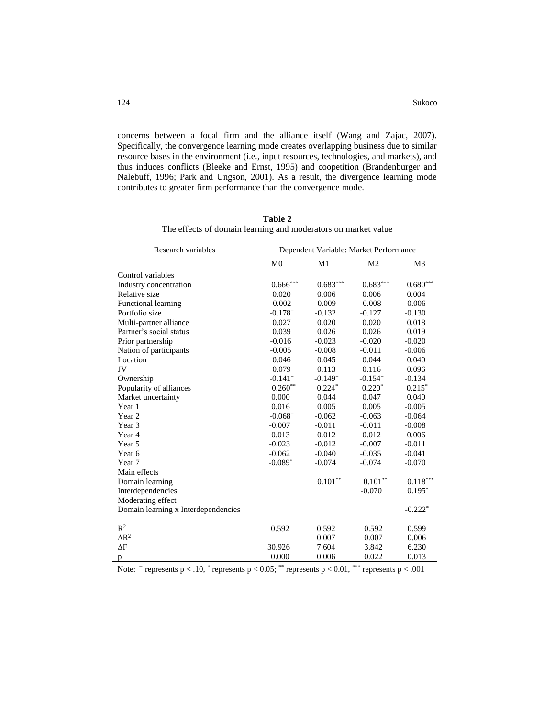concerns between a focal firm and the alliance itself (Wang and Zajac, 2007). Specifically, the convergence learning mode creates overlapping business due to similar resource bases in the environment (i.e., input resources, technologies, and markets), and thus induces conflicts (Bleeke and Ernst, 1995) and coopetition (Brandenburger and Nalebuff, 1996; Park and Ungson, 2001). As a result, the divergence learning mode contributes to greater firm performance than the convergence mode.

| Research variables                  | Dependent Variable: Market Performance |            |                |                       |
|-------------------------------------|----------------------------------------|------------|----------------|-----------------------|
|                                     | M <sub>0</sub>                         | M1         | M <sub>2</sub> | M <sub>3</sub>        |
| Control variables                   |                                        |            |                |                       |
| Industry concentration              | $0.666***$                             | $0.683***$ | $0.683***$     | $0.680***$            |
| Relative size                       | 0.020                                  | 0.006      | 0.006          | 0.004                 |
| Functional learning                 | $-0.002$                               | $-0.009$   | $-0.008$       | $-0.006$              |
| Portfolio size                      | $-0.178+$                              | $-0.132$   | $-0.127$       | $-0.130$              |
| Multi-partner alliance              | 0.027                                  | 0.020      | 0.020          | 0.018                 |
| Partner's social status             | 0.039                                  | 0.026      | 0.026          | 0.019                 |
| Prior partnership                   | $-0.016$                               | $-0.023$   | $-0.020$       | $-0.020$              |
| Nation of participants              | $-0.005$                               | $-0.008$   | $-0.011$       | $-0.006$              |
| Location                            | 0.046                                  | 0.045      | 0.044          | 0.040                 |
| JV                                  | 0.079                                  | 0.113      | 0.116          | 0.096                 |
| Ownership                           | $-0.141+$                              | $-0.149+$  | $-0.154+$      | $-0.134$              |
| Popularity of alliances             | $0.260**$                              | $0.224*$   | $0.220*$       | $0.215*$              |
| Market uncertainty                  | 0.000                                  | 0.044      | 0.047          | 0.040                 |
| Year 1                              | 0.016                                  | 0.005      | 0.005          | $-0.005$              |
| Year <sub>2</sub>                   | $-0.068+$                              | $-0.062$   | $-0.063$       | $-0.064$              |
| Year <sub>3</sub>                   | $-0.007$                               | $-0.011$   | $-0.011$       | $-0.008$              |
| Year 4                              | 0.013                                  | 0.012      | 0.012          | 0.006                 |
| Year 5                              | $-0.023$                               | $-0.012$   | $-0.007$       | $-0.011$              |
| Year <sub>6</sub>                   | $-0.062$                               | $-0.040$   | $-0.035$       | $-0.041$              |
| Year 7                              | $-0.089*$                              | $-0.074$   | $-0.074$       | $-0.070$              |
| Main effects                        |                                        |            |                |                       |
| Domain learning                     |                                        | $0.101**$  | $0.101**$      | $0.118***$            |
| Interdependencies                   |                                        |            | $-0.070$       | $0.195*$              |
| Moderating effect                   |                                        |            |                |                       |
| Domain learning x Interdependencies |                                        |            |                | $-0.222$ <sup>*</sup> |
| $\mathbb{R}^2$                      | 0.592                                  | 0.592      | 0.592          | 0.599                 |
| $\Delta R^2$                        |                                        | 0.007      | 0.007          | 0.006                 |
| $\Delta F$                          | 30.926                                 | 7.604      | 3.842          | 6.230                 |
| p                                   | 0.000                                  | 0.006      | 0.022          | 0.013                 |

**Table 2** The effects of domain learning and moderators on market value

Note:  $+$  represents p < .10,  $+$  represents p < 0.05;  $+$  represents p < 0.01,  $+$  represents p < .001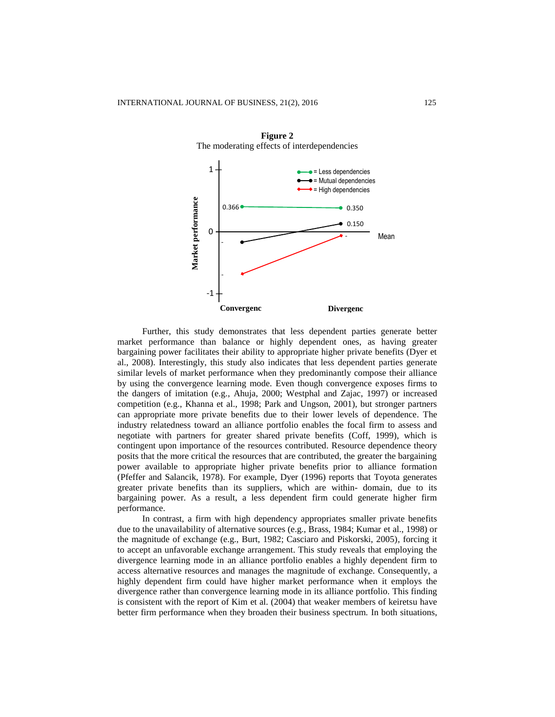

**Figure 2** The moderating effects of interdependencies

Further, this study demonstrates that less dependent parties generate better market performance than balance or highly dependent ones, as having greater bargaining power facilitates their ability to appropriate higher private benefits (Dyer et al., 2008). Interestingly, this study also indicates that less dependent parties generate similar levels of market performance when they predominantly compose their alliance by using the convergence learning mode. Even though convergence exposes firms to the dangers of imitation (e.g., Ahuja, 2000; Westphal and Zajac, 1997) or increased competition (e.g., Khanna et al., 1998; Park and Ungson, 2001), but stronger partners can appropriate more private benefits due to their lower levels of dependence. The industry relatedness toward an alliance portfolio enables the focal firm to assess and negotiate with partners for greater shared private benefits (Coff, 1999), which is contingent upon importance of the resources contributed. Resource dependence theory posits that the more critical the resources that are contributed, the greater the bargaining power available to appropriate higher private benefits prior to alliance formation (Pfeffer and Salancik, 1978). For example, Dyer (1996) reports that Toyota generates greater private benefits than its suppliers, which are within- domain, due to its bargaining power. As a result, a less dependent firm could generate higher firm performance.

In contrast, a firm with high dependency appropriates smaller private benefits due to the unavailability of alternative sources (e.g., Brass, 1984; Kumar et al., 1998) or the magnitude of exchange (e.g., Burt, 1982; Casciaro and Piskorski, 2005), forcing it to accept an unfavorable exchange arrangement. This study reveals that employing the divergence learning mode in an alliance portfolio enables a highly dependent firm to access alternative resources and manages the magnitude of exchange. Consequently, a highly dependent firm could have higher market performance when it employs the divergence rather than convergence learning mode in its alliance portfolio. This finding is consistent with the report of Kim et al. (2004) that weaker members of keiretsu have better firm performance when they broaden their business spectrum. In both situations,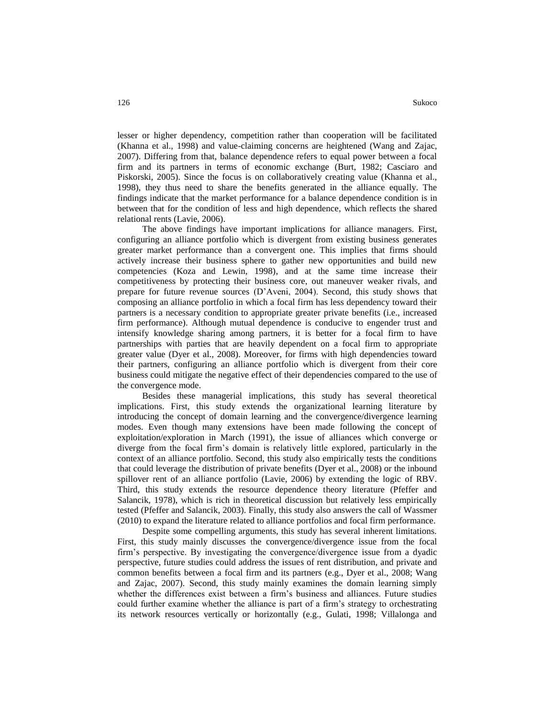lesser or higher dependency, competition rather than cooperation will be facilitated (Khanna et al., 1998) and value-claiming concerns are heightened (Wang and Zajac, 2007). Differing from that, balance dependence refers to equal power between a focal firm and its partners in terms of economic exchange (Burt, 1982; Casciaro and Piskorski, 2005). Since the focus is on collaboratively creating value (Khanna et al., 1998), they thus need to share the benefits generated in the alliance equally. The findings indicate that the market performance for a balance dependence condition is in between that for the condition of less and high dependence, which reflects the shared relational rents (Lavie, 2006).

The above findings have important implications for alliance managers. First, configuring an alliance portfolio which is divergent from existing business generates greater market performance than a convergent one. This implies that firms should actively increase their business sphere to gather new opportunities and build new competencies (Koza and Lewin, 1998), and at the same time increase their competitiveness by protecting their business core, out maneuver weaker rivals, and prepare for future revenue sources (D'Aveni, 2004). Second, this study shows that composing an alliance portfolio in which a focal firm has less dependency toward their partners is a necessary condition to appropriate greater private benefits (i.e., increased firm performance). Although mutual dependence is conducive to engender trust and intensify knowledge sharing among partners, it is better for a focal firm to have partnerships with parties that are heavily dependent on a focal firm to appropriate greater value (Dyer et al., 2008). Moreover, for firms with high dependencies toward their partners, configuring an alliance portfolio which is divergent from their core business could mitigate the negative effect of their dependencies compared to the use of the convergence mode.

Besides these managerial implications, this study has several theoretical implications. First, this study extends the organizational learning literature by introducing the concept of domain learning and the convergence/divergence learning modes. Even though many extensions have been made following the concept of exploitation/exploration in March (1991), the issue of alliances which converge or diverge from the focal firm's domain is relatively little explored, particularly in the context of an alliance portfolio. Second, this study also empirically tests the conditions that could leverage the distribution of private benefits (Dyer et al., 2008) or the inbound spillover rent of an alliance portfolio (Lavie, 2006) by extending the logic of RBV. Third, this study extends the resource dependence theory literature (Pfeffer and Salancik, 1978), which is rich in theoretical discussion but relatively less empirically tested (Pfeffer and Salancik, 2003). Finally, this study also answers the call of Wassmer (2010) to expand the literature related to alliance portfolios and focal firm performance.

Despite some compelling arguments, this study has several inherent limitations. First, this study mainly discusses the convergence/divergence issue from the focal firm's perspective. By investigating the convergence/divergence issue from a dyadic perspective, future studies could address the issues of rent distribution, and private and common benefits between a focal firm and its partners (e.g., Dyer et al., 2008; Wang and Zajac, 2007). Second, this study mainly examines the domain learning simply whether the differences exist between a firm's business and alliances. Future studies could further examine whether the alliance is part of a firm's strategy to orchestrating its network resources vertically or horizontally (e.g., Gulati, 1998; Villalonga and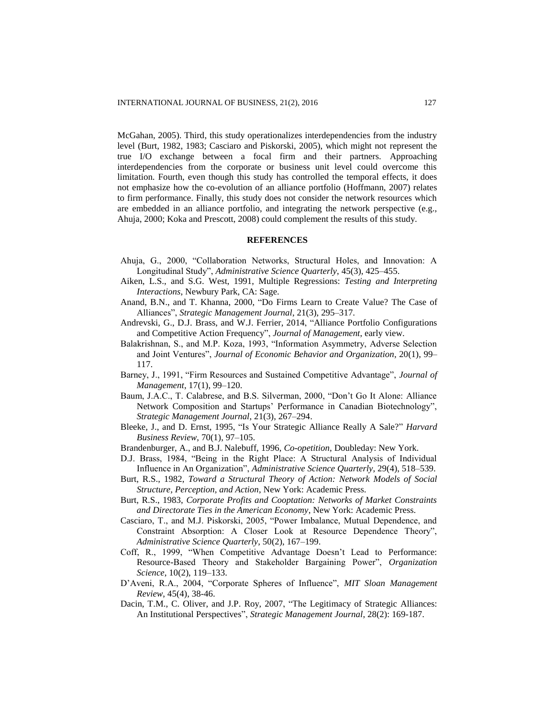McGahan, 2005). Third, this study operationalizes interdependencies from the industry level (Burt, 1982, 1983; Casciaro and Piskorski, 2005), which might not represent the true I/O exchange between a focal firm and their partners. Approaching interdependencies from the corporate or business unit level could overcome this limitation. Fourth, even though this study has controlled the temporal effects, it does not emphasize how the co-evolution of an alliance portfolio (Hoffmann, 2007) relates to firm performance. Finally, this study does not consider the network resources which are embedded in an alliance portfolio, and integrating the network perspective (e.g., Ahuja, 2000; Koka and Prescott, 2008) could complement the results of this study.

#### **REFERENCES**

- Ahuja, G., 2000, "Collaboration Networks, Structural Holes, and Innovation: A Longitudinal Study", *Administrative Science Quarterly*, 45(3), 425–455.
- Aiken, L.S., and S.G. West, 1991, Multiple Regressions: *Testing and Interpreting Interactions*, Newbury Park, CA: Sage.
- Anand, B.N., and T. Khanna, 2000, "Do Firms Learn to Create Value? The Case of Alliances", *Strategic Management Journal*, 21(3), 295–317.
- Andrevski, G., D.J. Brass, and W.J. Ferrier, 2014, "Alliance Portfolio Configurations and Competitive Action Frequency", *Journal of Management*, early view.
- Balakrishnan, S., and M.P. Koza, 1993, "Information Asymmetry, Adverse Selection and Joint Ventures", *Journal of Economic Behavior and Organization*, 20(1), 99– 117.
- Barney, J., 1991, "Firm Resources and Sustained Competitive Advantage", *Journal of Management*, 17(1), 99–120.
- Baum, J.A.C., T. Calabrese, and B.S. Silverman, 2000, "Don't Go It Alone: Alliance Network Composition and Startups' Performance in Canadian Biotechnology", *Strategic Management Journal*, 21(3), 267–294.
- Bleeke, J., and D. Ernst, 1995, "Is Your Strategic Alliance Really A Sale?" *Harvard Business Review*, 70(1), 97–105.
- Brandenburger, A., and B.J. Nalebuff, 1996, *Co-opetition*, Doubleday: New York.
- D.J. Brass, 1984, "Being in the Right Place: A Structural Analysis of Individual Influence in An Organization", *Administrative Science Quarterly*, 29(4), 518–539.
- Burt, R.S., 1982, *Toward a Structural Theory of Action: Network Models of Social Structure, Perception, and Action*, New York: Academic Press.
- Burt, R.S., 1983, *Corporate Profits and Cooptation: Networks of Market Constraints and Directorate Ties in the American Economy*, New York: Academic Press.
- Casciaro, T., and M.J. Piskorski, 2005, "Power Imbalance, Mutual Dependence, and Constraint Absorption: A Closer Look at Resource Dependence Theory", *Administrative Science Quarterly*, 50(2), 167–199.
- Coff, R., 1999, "When Competitive Advantage Doesn't Lead to Performance: Resource-Based Theory and Stakeholder Bargaining Power", *Organization Science*, 10(2), 119–133.
- D'Aveni, R.A., 2004, "Corporate Spheres of Influence", *MIT Sloan Management Review*, 45(4), 38-46.
- Dacin, T.M., C. Oliver, and J.P. Roy, 2007, "The Legitimacy of Strategic Alliances: An Institutional Perspectives", *Strategic Management Journal*, 28(2): 169-187.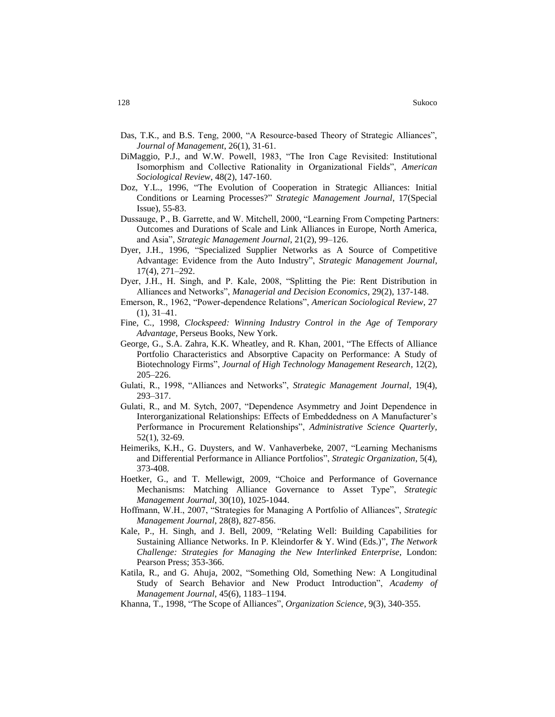- Das, T.K., and B.S. Teng, 2000, "A Resource-based Theory of Strategic Alliances", *Journal of Management*, 26(1), 31-61.
- DiMaggio, P.J., and W.W. Powell, 1983, "The Iron Cage Revisited: Institutional Isomorphism and Collective Rationality in Organizational Fields", *American Sociological Review*, 48(2), 147-160.
- Doz, Y.L., 1996, "The Evolution of Cooperation in Strategic Alliances: Initial Conditions or Learning Processes?" *Strategic Management Journal*, 17(Special Issue), 55-83.
- Dussauge, P., B. Garrette, and W. Mitchell, 2000, "Learning From Competing Partners: Outcomes and Durations of Scale and Link Alliances in Europe, North America, and Asia", *Strategic Management Journal*, 21(2), 99–126.
- Dyer, J.H., 1996, "Specialized Supplier Networks as A Source of Competitive Advantage: Evidence from the Auto Industry", *Strategic Management Journal*, 17(4), 271–292.
- Dyer, J.H., H. Singh, and P. Kale, 2008, "Splitting the Pie: Rent Distribution in Alliances and Networks", *Managerial and Decision Economics*, 29(2), 137-148.
- Emerson, R., 1962, "Power-dependence Relations", *American Sociological Review*, 27 (1), 31–41.
- Fine, C., 1998, *Clockspeed: Winning Industry Control in the Age of Temporary Advantage*, Perseus Books, New York.
- George, G., S.A. Zahra, K.K. Wheatley, and R. Khan, 2001, "The Effects of Alliance Portfolio Characteristics and Absorptive Capacity on Performance: A Study of Biotechnology Firms", *Journal of High Technology Management Research*, 12(2), 205–226.
- Gulati, R., 1998, "Alliances and Networks", *Strategic Management Journal*, 19(4), 293–317.
- Gulati, R., and M. Sytch, 2007, "Dependence Asymmetry and Joint Dependence in Interorganizational Relationships: Effects of Embeddedness on A Manufacturer's Performance in Procurement Relationships", *Administrative Science Quarterly*, 52(1), 32-69.
- Heimeriks, K.H., G. Duysters, and W. Vanhaverbeke, 2007, "Learning Mechanisms and Differential Performance in Alliance Portfolios", *Strategic Organization*, 5(4), 373-408.
- Hoetker, G., and T. Mellewigt, 2009, "Choice and Performance of Governance Mechanisms: Matching Alliance Governance to Asset Type", *Strategic Management Journal*, 30(10), 1025-1044.
- Hoffmann, W.H., 2007, "Strategies for Managing A Portfolio of Alliances", *Strategic Management Journal*, 28(8), 827-856.
- Kale, P., H. Singh, and J. Bell, 2009, "Relating Well: Building Capabilities for Sustaining Alliance Networks. In P. Kleindorfer & Y. Wind (Eds.)", *The Network Challenge: Strategies for Managing the New Interlinked Enterprise,* London: Pearson Press; 353-366.
- Katila, R., and G. Ahuja, 2002, "Something Old, Something New: A Longitudinal Study of Search Behavior and New Product Introduction", *Academy of Management Journal*, 45(6), 1183–1194.
- Khanna, T., 1998, "The Scope of Alliances", *Organization Science*, 9(3), 340-355.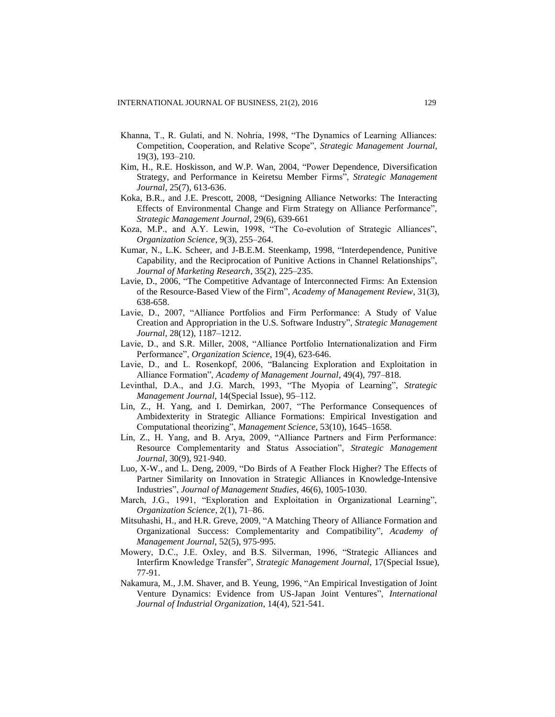- Khanna, T., R. Gulati, and N. Nohria, 1998, "The Dynamics of Learning Alliances: Competition, Cooperation, and Relative Scope", *Strategic Management Journal*, 19(3), 193–210.
- Kim, H., R.E. Hoskisson, and W.P. Wan, 2004, "Power Dependence, Diversification Strategy, and Performance in Keiretsu Member Firms", *Strategic Management Journal*, 25(7), 613-636.
- Koka, B.R., and J.E. Prescott, 2008, "Designing Alliance Networks: The Interacting Effects of Environmental Change and Firm Strategy on Alliance Performance", *Strategic Management Journal*, 29(6), 639-661
- Koza, M.P., and A.Y. Lewin, 1998, "The Co-evolution of Strategic Alliances", *Organization Science*, 9(3), 255–264.
- Kumar, N., L.K. Scheer, and J-B.E.M. Steenkamp, 1998, "Interdependence, Punitive Capability, and the Reciprocation of Punitive Actions in Channel Relationships", *Journal of Marketing Research*, 35(2), 225–235.
- Lavie, D., 2006, "The Competitive Advantage of Interconnected Firms: An Extension of the Resource-Based View of the Firm", *Academy of Management Review*, 31(3), 638-658.
- Lavie, D., 2007, "Alliance Portfolios and Firm Performance: A Study of Value Creation and Appropriation in the U.S. Software Industry", *Strategic Management Journal*, 28(12), 1187–1212.
- Lavie, D., and S.R. Miller, 2008, "Alliance Portfolio Internationalization and Firm Performance", *Organization Science*, 19(4), 623-646.
- Lavie, D., and L. Rosenkopf, 2006, "Balancing Exploration and Exploitation in Alliance Formation", *Academy of Management Journal*, 49(4), 797–818.
- Levinthal, D.A., and J.G. March, 1993, "The Myopia of Learning", *Strategic Management Journal*, 14(Special Issue), 95–112.
- Lin, Z., H. Yang, and I. Demirkan, 2007, "The Performance Consequences of Ambidexterity in Strategic Alliance Formations: Empirical Investigation and Computational theorizing", *Management Science*, 53(10), 1645–1658.
- Lin, Z., H. Yang, and B. Arya, 2009, "Alliance Partners and Firm Performance: Resource Complementarity and Status Association", *Strategic Management Journal*, 30(9), 921-940.
- Luo, X-W., and L. Deng, 2009, "Do Birds of A Feather Flock Higher? The Effects of Partner Similarity on Innovation in Strategic Alliances in Knowledge-Intensive Industries", *Journal of Management Studies*, 46(6), 1005-1030.
- March, J.G., 1991, "Exploration and Exploitation in Organizational Learning", *Organization Science*, 2(1), 71–86.
- Mitsuhashi, H., and H.R. Greve, 2009, "A Matching Theory of Alliance Formation and Organizational Success: Complementarity and Compatibility", *Academy of Management Journal*, 52(5), 975-995.
- Mowery, D.C., J.E. Oxley, and B.S. Silverman, 1996, "Strategic Alliances and Interfirm Knowledge Transfer", *Strategic Management Journal*, 17(Special Issue), 77-91.
- Nakamura, M., J.M. Shaver, and B. Yeung, 1996, "An Empirical Investigation of Joint Venture Dynamics: Evidence from US-Japan Joint Ventures", *International Journal of Industrial Organization*, 14(4), 521-541.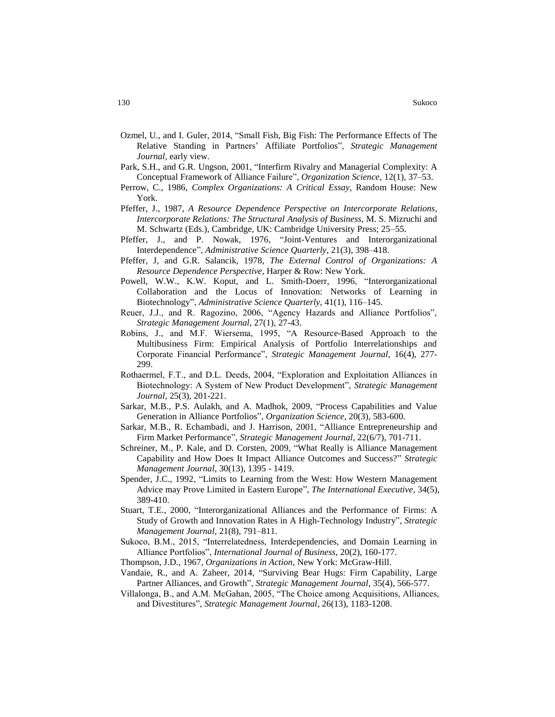- Ozmel, U., and I. Guler, 2014, "Small Fish, Big Fish: The Performance Effects of The Relative Standing in Partners' Affiliate Portfolios", *Strategic Management Journal*, early view.
- Park, S.H., and G.R. Ungson, 2001, "Interfirm Rivalry and Managerial Complexity: A Conceptual Framework of Alliance Failure", *Organization Science*, 12(1), 37–53.
- Perrow, C., 1986, *Complex Organizations: A Critical Essay*, Random House: New York.
- Pfeffer, J., 1987, *A Resource Dependence Perspective on Intercorporate Relations, Intercorporate Relations: The Structural Analysis of Business*, M. S. Mizruchi and M. Schwartz (Eds.), Cambridge, UK: Cambridge University Press; 25–55.
- Pfeffer, J., and P. Nowak, 1976, "Joint-Ventures and Interorganizational Interdependence", *Administrative Science Quarterly*, 21(3), 398–418.
- Pfeffer, J, and G.R. Salancik, 1978, *The External Control of Organizations: A Resource Dependence Perspective*, Harper & Row: New York.
- Powell, W.W., K.W. Koput, and L. Smith-Doerr, 1996, "Interorganizational Collaboration and the Locus of Innovation: Networks of Learning in Biotechnology", *Administrative Science Quarterly*, 41(1), 116–145.
- Reuer, J.J., and R. Ragozino, 2006, "Agency Hazards and Alliance Portfolios", *Strategic Management Journal*, 27(1), 27-43.
- Robins, J., and M.F. Wiersema, 1995, "A Resource-Based Approach to the Multibusiness Firm: Empirical Analysis of Portfolio Interrelationships and Corporate Financial Performance", *Strategic Management Journal*, 16(4), 277- 299.
- Rothaermel, F.T., and D.L. Deeds, 2004, "Exploration and Exploitation Alliances in Biotechnology: A System of New Product Development", *Strategic Management Journal*, 25(3), 201-221.
- Sarkar, M.B., P.S. Aulakh, and A. Madhok, 2009, "Process Capabilities and Value Generation in Alliance Portfolios", *Organization Science*, 20(3), 583-600.
- Sarkar, M.B., R. Echambadi, and J. Harrison, 2001, "Alliance Entrepreneurship and Firm Market Performance", *Strategic Management Journal*, 22(6/7), 701-711.
- Schreiner, M., P. Kale, and D. Corsten, 2009, "What Really is Alliance Management Capability and How Does It Impact Alliance Outcomes and Success?" *Strategic Management Journal*, 30(13), 1395 - 1419.
- Spender, J.C., 1992, "Limits to Learning from the West: How Western Management Advice may Prove Limited in Eastern Europe", *The International Executive*, 34(5), 389-410.
- Stuart, T.E., 2000, "Interorganizational Alliances and the Performance of Firms: A Study of Growth and Innovation Rates in A High-Technology Industry", *Strategic Management Journal*, 21(8), 791–811.
- Sukoco, B.M., 2015, "Interrelatedness, Interdependencies, and Domain Learning in Alliance Portfolios", *International Journal of Business*, 20(2), 160-177.
- Thompson, J.D., 1967, *Organizations in Action*, New York: McGraw-Hill.
- Vandaie, R., and A. Zaheer, 2014, "Surviving Bear Hugs: Firm Capability, Large Partner Alliances, and Growth", *Strategic Management Journal*, 35(4), 566-577.
- Villalonga, B., and A.M. McGahan, 2005, "The Choice among Acquisitions, Alliances, and Divestitures", *Strategic Management Journal*, 26(13), 1183-1208.